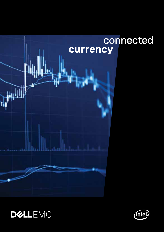



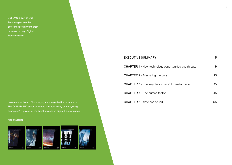Dell EMC, a part of Dell Technologies, enables enterprises to reinvent their business through Digital Transformation.

'No man is an island.' Nor is any system, organization or industry. The CONNECTED series dives into this new reality of 'everything connected'. It gives you the latest insights on digital transformation.

#### Also available:



| <b>EXECUTIVE SUMMARY</b>                                    | 5  |
|-------------------------------------------------------------|----|
| <b>CHAPTER 1 - New technology opportunities and threats</b> | 9  |
| <b>CHAPTER 2</b> - Mastering the data                       | 23 |
| <b>CHAPTER 3</b> - The keys to successful transformation    | 35 |
| <b>CHAPTER 4</b> - The human factor                         | 45 |
| <b>CHAPTER 5</b> - Safe and sound                           | 55 |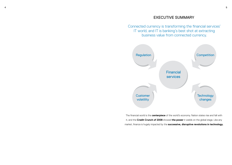# EXECUTIVE SUMMARY

Connected currency is transforming the financial services' IT world, and IT is banking's best shot at extracting business value from connected currency.



The financial world is the **centerpiece** of the world's economy. Nation states rise and fall with it, and the **Credit Crunch of 2008** showed **the power** it wields on the global stage. Like any market, finance is hugely impacted by the **successive, disruptive revolutions in technology.**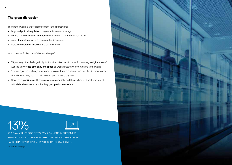# **The great disruption**

The finance world is under pressure from various directions:

- **•** Legal and political regulation bring compliance center-stage
- **•** Nimble and new kinds of competitors are entering from the fintech world
- **•** A new technology wave is changing the finance sector
- **•** Increased customer volatility and empowerment

What role can IT play in all of these challenges?

- **•** 25 years ago, the challenge in digital transformation was to move from analog to digital ways of working to increase efficiency and speed as well as instantly connect banks to the world.
- **•** 10 years ago, the challenge was to move to real-time: a customer who would withdraw money should immediately see the balance change, and not a day later.
- **•** Now, the capabilities of IT have grown exponentially and the availability of vast amounts of critical data has created another holy grail: predictive analytics.





2016 SAW AN INCREASE OF 13%, YEAR-ON-YEAR, IN CUSTOMERS SWITCHING TO ANOTHER BANK. THE DAYS OF CRADLE-TO-GRAVE BANKS THAT CAN RELIABLY SPAN GENERATIONS ARE OVER. Source: The Telegraph

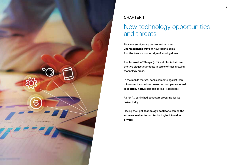

# CHAPTER 1

# New technology opportunities and threats

Financial services are confronted with an **unprecedented wave** of new technologies. And the trends show no sign of slowing down.

The **Internet of Things** (IoT) and **blockchain** are the two biggest standouts in terms of fast-growing technology areas.

In the mobile market, banks compete against lean **microcredit** and microtransaction companies as well as **digitally native** companies (e.g. Facebook).

As for **AI**, banks had best start preparing for its arrival today.

Having the right **technology backbone** can be the supreme enabler to turn technologies into **value drivers.**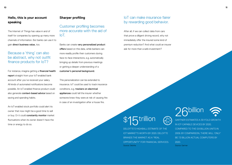# **Hello, this is your account speaking**

The Internet of Things has value in and of itself for companies by opening up many more channels of information. But banks can use it to gain direct business value, too.

# Because a 'thing' can also be abstract, why not outfit finance products for IoT?

For instance, imagine getting a financial health report straight from your IoT-enabled bank account after you've received your salary. All kinds of automated notifications become possible. An IoT-enabled finance product could also generate context-based advice based on saving and spending habits.

An IoT-enabled stock portfolio could alert its owner that now might be a good time to sell or buy. Or it could constantly monitor market fluctuations when its owner doesn't have the time or energy to do so.

# **Sharper profiling**

Customer profiling becomes more accurate with the aid of IoT.

Banks can create very personalized product offers based on this data, while bankers can more readily profile their customers during face-to-face interactions, e.g. automatically bringing up details from previous meetings or getting a deeper understanding of a customer's personal background.

This personalization can be extended to insurance. IoT could be used to track insurance conditions, e.g. trackers on electrical appliances could tell the insurer whether someone knew they were at risk of causing fire in case of an investigation after a house fire.

# IoT can make insurance fairer by rewarding good behavior.

After all, if we can collect data from cars that prove a diligent driving record, why not immediately offer the insured some kind of premium reduction? And what could an insurer ask for more than a safe investment?

# **斥trillion**

DELOITTE'S HIGHBALL ESTIMATE OF THE IOT MARKET'S WORTH BY 2020. DELOITTE BRANDS THE MARKET AS A "REAL OPPORTUNITY" FOR FINANCIAL SERVICES. Source: Deloitte

# 26billion

GARTNER ESTIMATES A 30-FOLD GROWTH IN IOT-CAPABLE DEVICES BY 2020, COMPARED TO THE 0.9 BILLION UNITS IN 2009. BY COMPARISON, THERE WILL 'ONLY' BE 7.3 BILLION ACTUAL COMPUTERS BY 2020. Source: Gartner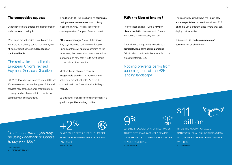## **The competitive squeeze**

Other players have entered the finance market and more keep coming in.

Many supermarket chains or car brands, for instance, have already set up their own types of loan or credit services independent of traditional banks.

# The real wake-up call is the European Union's revised Payment Services Directive.

PSD2, as it's called, will become law in 2018 and lifts some restrictions on the types of financial services non-banks can offer their clients. In this way, smaller players will find it easier to compete with big institutions.

In addition, PSD2 requires banks to harmonize their governance framework and publicly release their APIs. This is all in service of creating a unified European finance market.

"The pie gets bigger," Viola Hellström of Evry says. Because banks across European Union countries will operate according to the same rules, this means that consumers will be more aware of how easy it is to buy financial products in another country.

Most banks are already present **as** recognizable brands in multiple countries, unlike new market entrants. As a result, competition in the financial market is likely to intensify.

So traditional financial services are actually in a good competitive starting position.

# **P2P: the Uber of lending?**

Peer-to-peer lending (P2P), a form of disintermediation, leaves classic finance institutions understandably worried.

After all, loans are generally considered a profitable, long-term banking product. Additional competition in this area is felt to be almost existential. But…

Nothing prevents banks from becoming part of the P2P lending landscape.

Banks certainly already have the know-how and the specialists on board to do loans. P2P lending is just a different place where they can deploy that expertise.

This makes P2P lending a new area of business, not an alien threat.

# $\bigoplus_{\infty}$

9% LENDING SPECIALIST ORCHARD ESTIMATES THIS TO BE THE AVERAGE YIELD OF A P2P LOAN. THIS PUTS IT SLIGHTLY AHEAD OF THE CLASSIC BANK LOAN. Source: Orchard

# \$11 billion THIS IS THE AMOUNT OF VALUE

TRADITIONAL FINANCIAL INSITUTIONS RISK TO LOSE WHEN THE P2P LENDING MARKET MATURES. Source: Orchard

*"In the near future, you may be using Facebook or Google to pay your bills."*

Viola Hellström VP Financial Services, Evry

 $+2%$ BANKS COULD EXPERIENCE THIS UPTICK IN REVENUE BY ENTERING THE P2P LENDING

> LANDSCAPE. Source: Orchard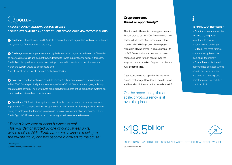# **DELLEMC**

**A CLOSER LOOK – DELL EMC CUSTOMER CASE SECURE, STREAMLINED AND SPEEDY – CRÉDIT AGRICOLE MOVES TO THE CLOUD**

**<sup>1</sup>** Customer – French bank Crédit Agricole is one of Europe's largest financial groups. In France alone, it serves 25 million customers a day.

**2** Challenge – As a co-operative, it is a highly decentralized organization by nature. To render its business more agile and competitive, it decided to invest in new technologies. In this case, Crédit Agricole opted for a private cloud setup. It needed to convince its decision-makers. \* that the system would be both secure and

\* would meet the stringent demands for high availability.

**<sup>3</sup>** Solution – The financial group found its partner for their business and IT transformation in Dell EMC. More specifically, it chose a setup of twin VBlock Systems in two geographically separate data centers. The new private cloud architecture hosts critical production systems on a standardized, streamlined infrastructure.

**4** Benefits – IT infrastructure agility has significantly improved since the new system was implemented. The setup is resilient enough to cover all eventualities. Banking applications are taking advantage of the technical paradigm in terms of cost optimization and speed. In turn, Crédit Agricole's IT teams can focus on delivering added value for the business.

*"There's lower cost of doing business overall. This was demonstrated by one of our business units, which realized 25% IT infrastructure savings in moving to the private cloud, and has become a convert to the cause."*

Lou Gallagher Systems Director, HealthEast Care System

# *i* **Cryptocurrency: threat or opportunity?**

The first and still most famous cryptocurrency, Bitcoin, started out in 2009. The difference with earlier virtual types of currency, most often found in MMORPGs (massively multiplayer online role-playing games) such as Second Life or EVE Online, is that the creators of these games had some form of control over their in-game currency market. Cryptocurrencies are fully decentralized.

Cryptocurrency is perhaps the flashiest new finance technology. How does it relate to banks and how should finance institutions relate to it?

On the opportunity-threat scale, cryptocurrency is all over the place.

# **TERMINOLOGY REFRESHER**

**•** Cryptocurrency: currencies that use cryptography algorithms to control production and exchange **•** Bitcoin: the most famous cryptocurrency, based on blockchain technology **•** Blockchain: a distributed, decentralized database whose constituent parts interlink and have an unchangeable timestamp and link back to a previous block.

![](_page_7_Picture_16.jpeg)

BUSINESSWIRE SAYS THIS IS THE CURRENT NET WORTH OF THE GLOBAL BITCOIN MARKET. Source: BusinessWire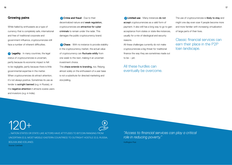# **Growing pains**

While hailed by enthusiasts as a type of currency that is completely safe, international and free of traditional corporate and government influence, cryptocurrencies still face a number of inherent difficulties.

**<sup>1</sup> Legality** - In many countries, the legal status of cryptocurrencies is uncertain, partly because its economic impact is felt to be negligible, partly because there is little governmental expertise in the matter. When cryptocurrencies do attract attention, it's not always positive. Sometimes its use as tender is outright banned (e.g. in Russia), or the **negative attention** it attracts scares users and investors (e.g. in India).

120+

BOLIVIA AND ICELAND).

Source: CoinDesk

**2 Crime and fraud** - Due to their decentralized nature and weak regulation, cryptocurrencies are attractive for cyber criminals to remain under the radar. This damages the public cryptocurrency brand.

**3 Chaos** - With no instance to provide stability in the cryptocurrency market, the actual value of cryptocurrency can fluctuate wildly from one week to the next, making it an uncertain investment choice.

This chaos extends to branding, too. Relying almost solely on the enthusiasm of a user base is not a substitute for directed marketing and storytelling.

**<sup>4</sup> Limited use** - Many instances do not accept cryptocurrencies as a valid form of payment. It also still has a long way to go to gain acceptance from states or state-like instances, usually for a mix of ideological and security reasons.

All these challenges currently do not make cryptocurrencies a big threat for traditional finance the way they are sometimes made out to be – yet.

All these hurdles can eventually be overcome.

The use of cryptocurrencies is likely to stay and might one day even soar if people become more and more familiar with increasing virtualization of large parts of their lives.

Classic financial services can earn their place in the P2P loan landscape.

Huffington Post ... NATION STATES OR STATE-LIKE ACTORS HAVE ATTITUDES TO BITCOIN RANGING FROM UNCERTAIN (E.G. MOST MIDDLE-EASTERN COUNTRIES) TO OUTRIGHT HOSTILE (E.G. RUSSIA,

*"Access to financial services can play a critical role in reducing poverty."*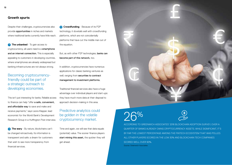# **Growth spurts**

Despite their challenges, cryptocurrencies also provide opportunities in niches and markets where traditional banks currently have little reach.

**1 The unbanked** - To gain access to cryptocurrency, all users need is a smartphone and an internet connection. This is especially appealing to customers in developing countries, where smartphones are already widespread but banking infrastructures are not always strong.

# Becoming cryptocurrencyfriendly could be part of a strategic outreach to developing economies.

This isn't just interesting for banks. Reliable access to finance can help "offer a safe, convenient, and affordable way to save and make and receive payments," says Leora Klapper, lead economist for the World Bank's Development Research Group in a Huffington Post interview.

**2 The wary** - By nature, blockchains can't be changed retroactively. Its information is transparent and safe: a dream for customers that wish to see more transparency from financial services.

**<sup>3</sup> Crowdfunding** - Because of its P2P technology, it dovetails well with crowdfunding platforms, which are not coincidentally platforms that have cut the middle man out of the equation.

But, as with other P2P technologies, banks can become part of this network, too.

In addition, cryptocurrencies have numerous applications for classic banking ventures as well, ranging from securities to contract management to investment platforms.

Traditional financial services also have a huge advantage over individual players and start-ups: they have much more data at their disposal to approach decision-making in this area.

Predictive analytics could be golden in the volatile cryptocurrency market.

Time and again, we will see that data equals (potential) value. The sooner finance players start mining this asset, the quicker they will get ahead.

![](_page_9_Picture_13.jpeg)

![](_page_9_Picture_15.jpeg)

26% ACCORDING TO GREENWICH ASSOCIATES' 2016 BLOCKCHAIN ADOPTION SURVEY, OVER A QUARTER OF BANKS ALREADY OWNS CRYPTOCURRENCY ASSETS. WHILE SIGNIFICANT, IT'S BY FAR THE LOWEST PERCENTAGE AMONG THE FINTECH ECOSYSTEM THAT WAS POLLED. ALL OTHER PLAYERS SCORED IN THE LOW 30% AND BLOCKCHAIN TECH COMPANIES SCORED WELL OVER 90%. Source: Greenwich Associates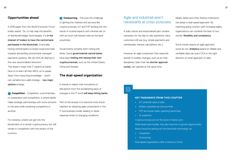## **Opportunities ahead**

A 2016 paper from the World Economic Forum boldly stated: "So, to fully reap the benefits of distributed ledger technologies, it is in the interest of traders to have the central bank participate in the blockchain. Eventually, having central banks on board could even lead towards dismantling central bank-managed payments systems. We can shift all clearing to the new, decentralised networks." This doesn't mean that IT experts at banks have to re-learn all their ABCs, so to speak. Apart from insourcing knowledge – which can certainly be a valid strategy - two major options emerge:

**1 Coopetition** - Coopetition, a portmanteau of cooperation and competition, is where banks make strategic partnerships with some entrants in one area while remaining competitors in another.

For instance, a bank can get into the blockchains of a certain cryptocurrency, but still remain in competition with the issuers of the currency.

**2 Outsourcing** - This puts the challenge of getting into markets and services like cryptocurrencies, IoT and P2P lending into the hands of trusted experts with minimal risk (or with as much risk/reward-ratio as the bank would like).

Governments certainly aren't sitting still, either. Some governmental central banks have been looking into issuing their own cryptocurrencies, such as the United States, China and Sweden.

## **The dual-speed organization**

It stands to reason that innovations or disruptions from the accelerating pace of changes in the IT world will keep hitting banks.

Part of the answer is to become more shockresistant by adopting agile components in the IT and business model, leading to faster response times to changing conditions.

# Agile and industrial aren't necessarily at cross-purposes.

A solid, robust and industrialized part remains necessary for the day-to-day operations many customers still use (e.g. simple payments and withdrawals, interest calculations, etc.).

However, an agile component that responds quickly to sudden changes, such as an interdisciplinary team that has shorter approval cycles, can operate at the same time.

Ideally, banks and other finance institutions can adopt a dual-speed approach. By matching going concern with increased agility, organizations can combine the best of two worlds: flexibility and consistency.

Some trends require an agile approach, some do not. Analytics based on reliable and verifiable data can point CIOs in the right direction of what approach to take.

# $|\exists \check{z}|$

#### **KEY TAKEAWAYS FROM THIS CHAPTER**

- **•** IoT: potential value of data
- **•** Mobile: expanded services portfolio
- **•** P2P and social media: upsetting hierarchies
- **•** AI: prediction

ore<br>ao<br>he Cryptocurrencies are not the doom of banks (yet) While banks face hurdles, they also have lots of growth opportunities Banks should be getting into the blockchain technology via

- **•** Coopetition
- **•** Outsourcing

Dual-speed organizations offer a chance to thrive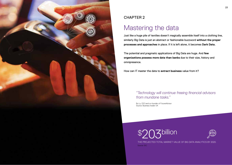![](_page_11_Picture_0.jpeg)

# CHAPTER 2

# Mastering the data

Just like a huge pile of textiles doesn't magically assemble itself into a clothing line, similarly Big Data is just an abstract or fashionable buzzword **without the proper processes and approaches** in place. If it is left alone, it becomes **Dark Data.**

The potential and pragmatic applications of Big Data are huge. And **few organizations possess more data than banks** due to their size, history and omnipresence.

How can IT master the data to **extract business** value from it?

*"Technology will continue freeing financial advisors from mundane tasks."*

Bu Lu, CEO and co-founder of FutureAdvisor Source: Business Insider UK

![](_page_11_Picture_8.jpeg)

![](_page_11_Picture_9.jpeg)

THE PROJECTED TOTAL MARKET VALUE OF BIG DATA ANALYTICS BY 2020. Source: IDC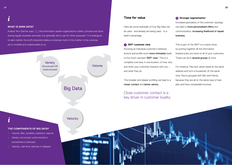*i*

## **WHAT IS DARK DATA?**

Analyst firm Gartner says: "[…] the information assets organizations collect, process and store during regular business activities, but generally fail to use for other purposes." It is analogous to dark matter, the stuff physicists believe comprises most of the matter in the universe, yet is invisible and undetectable to us.

![](_page_12_Figure_4.jpeg)

## **Time for value**

Here are some examples of how Big Data can be used - and already are being used - to a bank's advantage.

#### **<sup>1</sup> 360° customer view**

Knowing an individual customer's behavior, actions and profile much more intimately leads to the much-vaunted '360° view'. This is a complete overview, in one location, of how, why and when your customer interacts with you – and what they do.

This broader and deeper profiling can lead to a closer contact and better advice.

# Close customer contact is a key driver in customer loyalty.

#### **<sup>2</sup> Stronger segmentation**

Increased granularity of the customer typology can lead to more personalized offers and communication, increasing likelihood of repeat business.

This is part of the 360° on a macro level, by putting together all the information breadcrumbs you have on all of your customers. These can be in **several groups** at once.

For instance, Paul and Jamie reside at the same address and form a household. At the same time, Paul is grouped with Ben and Fatma, because they are all on the same type of loan plan and have comparable incomes.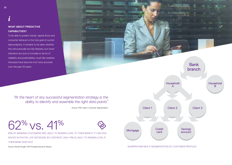*i*

# **WHAT ABOUT PREDICTIVE CAPABILITIES?**

To be able to predict trends, capital flows and consumer behavior is the holy grail of current data analytics. It remains to be seen whether this will eventually be fully flawless, but trend indicators are sure to increase in terms of reliability and predictability, much like weather forecasts have become a lot more accurate over the past 50 years.

# *"At the heart of any successful segmentation strategy is the ability to identify and assemble the right data points"*

Source: PWC report 'Customer Segmentation'

62% vs. 41%

62% OF BANKING CUSTOMERS ARE LIKELY TO REMAIN LOYAL TO THEIR BANK IF IT CAN GIVE ADVICE IN PIVOTAL LIFE DECISIONS. BY CONTRAST, ONLY 41% IS LIKELY TO REMAIN LOYAL IF THEIR BANK DOES NOT.

Source: Nicole Sturgill, CEB Principal Executive Advisor

![](_page_13_Figure_8.jpeg)

SHARPER AND MULTI-SEGMENTATION OF CUSTOMER PROFILES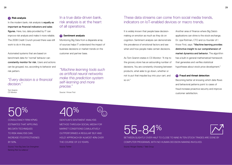#### **<sup>3</sup> Risk analysis**

In the modern bank, risk analysis is **equally as** important as financial indicators and sales figures. Here, too, data provided by IT can improve risk analysis and make it more reliable. The 2008 Credit Crunch proved there was still work to do in this area.

Automated systems that are based on benchmark data for 'normal' behavior can constantly monitor for risk. Users and actions can be grouped, too, according to behavior and risk pattern.

# *decision."*

Tom Gramm CS Monitor

# In a true data-driven bank, risk analysis is at the heart of all operations.

#### **<sup>4</sup> Sentiment analysis**

Monitoring Big Data from a disparate array of sources helps IT understand the impact of business decisions or market trends on the customer and partner base.

*"Every decision is a financial indive* this prediction system so on." *"Machine learning tools such as artificial neural networks make this prediction system self-learning and more precise."*

Source: I Know First

These data streams can come from social media trends, indicators on IoT-enabled devices or macro trends.

It is widely known that people base decisionmaking on emotion as much as they do on cognition. Sentiment analysis can demonstrate the prevalence of emotional factors and see when and how people make certain decisions.

As Tom Gramm states in CS Monitor: "A trip to the grocery store has an astounding number of decisions. You are constantly choosing between products, what aisle to go down, whether or not to put that impulse buy into your cart, and

Another area of finance where Big Data's applications can shine is the stock exchange. Dr. Lipa Roitman, CTO and co-founder of I Know First, says: "Machine learning provides distinctive insight to our comprehension of market dynamics and behavior. The algorithm has a built-in general mathematical framework that generates and verifies statistical hypotheses about stock price development."

#### **6 Fraud and threat detection**

Becoming better at knowing which data flows and behavioral patterns point to cases of fraud increase proactive security and improve customer satisfaction.

50% CONSULTANCY FIRM KPMG ESTIMATES THAT APPLYING BIG DATA TECHNIQUES TO RISK ANALYSIS CAN

INCREASE ITS EFFECTIVENES BY 50%.

Source: 'How Big Data Can Strengthen Banking Risk Surveillance'

40%

ISENTIUM'S SENTIMENT ANALYSIS METHOD THROUGH SOCIAL MEDIA FOR MARKET CONDITIONS CUMULATIVELY OUTPERFORMED A REGULAR 'BUY AND HOLD' APPROACH BY ALMOST 40% OVER THE COURSE OF 2.5 YEARS.

Source: Twitter

55-84%

BETWEEN SLIGHTLY OVER HALF TO CLOSE TO NINE IN TEN STOCK TRADES ARE DONE BY COMPUTER PROGRAMS, WITH NO HUMAN DECISION-MAKING INVOLVED.

Source: Morgan Stanley / Tabb Group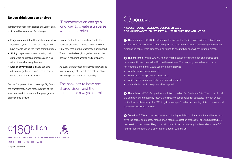## **So you think you can analyze**

In many financial organizations, analysis of data is hindered by a number of challenges.

- **•** Fragmentation: if the IT infrastructure is too fragmented, even the best of analysts will have trouble seeing the wood from the trees.
- **•** Siloing: departments aren't sharing their data or are duplicating processes and files without even knowing they are.
- **•** Lack of governance: Big Data can't be adequately gathered or analyzed if there is no corporate framework for it.

So, the first prerequisite to leverage Big Data is the transformation and modernization of the IT infrastructure into a system that propagates a single source of truth.

IT transformation can go a long way to create a universe where data thrives.

Only when the IT setup is aligned with the business objectives and vice versa can data truly flow through the organization unimpeded. Then, it can be brought together to form the basis of a coherent analysis and action plan.

As such, transformation initiatives that want to take advantage of Big Data are not just about technology, but also about mentality.

The bank has to have one shared vision, and the customer is always central.

![](_page_15_Picture_10.jpeg)

THE ANNUAL AMOUNT OF TAXES THE EUROPEAN UNION MISSES OUT ON DUE TO FRAUD.

European Commission

![](_page_15_Picture_13.jpeg)

**A CLOSER LOOK – DELL EMC CUSTOMER CASE EOS KSI KNOWS WHEN IT'S PAYDAY - WITH SUPERIOR ANALYTICS**

**1** The customer - ESO KSI Česká Republika is a debt collection expert with 50 subsidiaries in 25 countries. Its expertise is in walking the line between not letting customers get away with outstanding debts, while simultaneously trying to ensure their goodwill for future business.

**2** The challenge - While EOS KSI had an internal solution to sift through and analyze data, more versatility was needed to lift it to the next level. The company needed a much more far-reaching system that would use the data to analyze:

- **•** Whether or not to go to court
- **•** The best process phases to collect debt
- **•** Which debts were more likely to become delinquent
- **•** If standard collection steps could be skipped

**3** The solution - EOS KSI opted for a solution based on Dell Statistica Data Miner. It would help the company build probability models and specify optimal collection strategies for each debtor profile. It also offered ways for EOS to gain a more profound understanding of its customers, and automated reporting activities.

**4** Benefits - EOS can now use payment probability and debtor characteristics and behavior to drive the collection process. Instead of an intensive collection process for all unpaid debts, EOS can zero in on debts most likely to be paid. In addition, the company has been able to save 52 hours in administrative time each month through automation.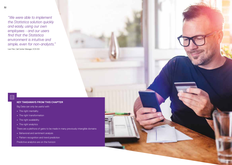*"We were able to implement the Statistica solution quickly and easily, using our own employees - and our users find that the Statistica environment is intuitive and simple, even for non-analysts."* Ivan Fibir, Call Center Manager, EOS KSI

## **KEY TAKEAWAYS FROM THIS CHAPTER**

Big Data can only be useful with

- **•** The right mentality
- **•** The right transformation
- **•** The right availability
- **•** The right analytics

There are a plethora of gains to be made in many previously intangible domains

**Dear reader**

- **•** Behavioral and sentiment analysis
- **•** Pattern recognition and trend prediction

Predictive analytics are on the horizon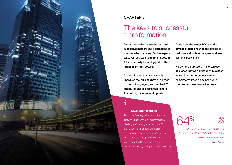![](_page_17_Picture_0.jpeg)

# CHAPTER 3

# The keys to successful transformation

Today's mega-banks are the result of successive mergers and acquisitions in the preceding decades. **Each merger** or takeover resulted in **specific IT setups** fully or partially becoming part of the **larger IT infrastructure.**

The result was what is commonly known as the **"IT spaghetti",** a chaos of interlinking, legacy and patched IT structures and solutions that is **hard to control, maintain and update.** 

# Aside from the **steep TCO** and the **almost arcane knowledge** required to maintain and update the system, these systems pose a risk.

Partly for that reason, IT is often **seen as a cost, not as a creator of business value.** But this perception can be completely turned on its head with **the proper transformation project.**

## **THE FRAMEWORKS ARE HERE**

BIAN, the Banking Industry Architecture Network, has thoroughly addressed the challenge of creating a professional IT framework for financial institutions. This comes in handy in IT transformation, as it focuses on mapping the business needs onto the IT needs and manages to **THE FRAMEWORKS ARE HERE**<br>BIAN, the Banking Industry Architecture<br>Network, has thoroughly addressed the<br>challenge of creating a professional IT<br>framework for financial institutions.<br>This comes in handy in IT transformation

64 %

![](_page_17_Picture_11.jpeg)

... OF BANKS FEEL THEIR ABILITY TO CHANGE IS A GREATER CHALLENGE THAN SEEING THE NEED FOR IT Source: Gartner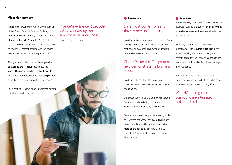### **Victorian cement**

In an article in Computer Weekly, the chairman of the British Financial Services Club says: "Banks in the last century all held the view: 'If ain't broken, don't touch it.' [...] By the time the Internet came around, the cement was so thick that Internet banking was just added making the cement more like granite rock."

This granite rock becomes a challenge when converting the IT setup into something leaner. The chairman adds that banks will look "Victorian by comparison to new competition or banks that have systems fit for purpose."

For a banking IT setup to be futureproof, several conditions need to be met.

# *"We believe the next decade will be marked by the simplification of business."*

EY, Global Banking Outlook 2015

#### **<sup>1</sup> Transparency**

# Data must come from and flow to one unified point.

Data has to be traceable and has to come from a 'single source of truth', requiring systems that offer an easy look on how they generate data and where it's coming from.

# Clear KPIs for the IT department help demonstrate its business value.

In addition, these KPIs offer clear goals for what the system has to do as well as what it shouldn't do.

Data traceability helps the entire organization, from sales and marketing to finance. Blockchain can again play a role in this.

Several banks are already experimenting with this. "Across the world, banks are finding use cases for it. But it will ultimately work when more banks adopt it," says Rajiv Anand, Executive Director of Axis Bank in an India Times article.

#### **<sup>2</sup> Scalability**

It must be easy to enlarge IT capacities as the business requires it, a type of scalability that is hard to achieve with traditional in-house server parks.

Generally, this can be overcome with outsourcing. This requires trust. Banks are understandably skeptical of moving the infrastructure for their sensitive core banking systems someplace else. But the advantages are undeniable.

Banks (as well as other companies and industries) increasingly adopt and adhere to a hyper-converged infrastructure (HCI).

With HCI, storage and computing are integrated and virtualized.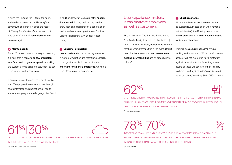It gives the CIO and the IT team the agility and flexibility it needs to tackle today's and tomorrow's challenges. It takes the focus of IT away from 'systems' and redirects it to 'applications'. It lets IT come closer to the business again.

#### **<sup>3</sup> Maintainability**

For an IT infrastructure to be easy to maintain, it is best that it contains as few proprietary interfaces and programs as possible, making the system a single pane of glass, easier to get to know and use for new talent.

It also makes maintenance tasks much quicker if an IT employee doesn't have to sift through seven interfaces and applications, or has to learn ancient programming languages like Cobol. In addition, legacy systems are often "poorly documented, forcing banks to rely on the knowledge and experience of a generation of workers who are nearing retirement," writes Deloitte in its report 'Why Legacy Is Not Enough.'

#### **<sup>4</sup> Customer orientation**

User experience is one of the key elements in customer adoption and retention, especially in designs for mobile. However, it is also important for a bank's employees, who are a type of 'customer' in another way.

# User experience matters. It can motivate employees as well as customers.

This is non-trivial. The Financial Brand writes: "It is finally the right moment for banks to [...] make their services clear, obvious and intuitive for their users. Perhaps this is the most difficult task of all because of the need to overcome existing internal politics and an organizational culture."

#### **<sup>5</sup> Shock resistance**

While sometimes, ad hoc interventions can't be avoided (e.g. in case of an unpreventable natural disaster), the IT setup needs to be shock-proof and have built-in redundancy to avoid major disruptions.

This includes security concerns around hacking and attacks, too. While transformation aspects "will not guarantee 100% protection against cyber attacks, implementing even a couple of these will boost your bank's ability to defend itself against today's sophisticated cyber attackers," says Itay Glick, CEO of Votiro.

# 62%

... IS THE NUMBER OF AMERICANS THAT RELY ON THE INTERNET AS THEIR PRIMARY BANKING CHANNEL. IN AN ERA WHERE A COMPETING FINANCIAL SERVICE PROVIDER IS JUST ONE CLICK AWAY, USER EXPERIENCE IS A KEY DIFFERENTIATOR. Source: OpenLegacy

61%|30%

![](_page_19_Picture_17.jpeg)

ALMOST TWO OUT OF THREE BANKS ARE CURRENTLY DEVELOPING A CLOUD STRATEGY. ONE IN THREE ACTUALLY HAS A STRATEGY IN PLACE.

Source: The Cloud Security Alliance

 $78\%$  /( )% ACCORDING TO AN NTT DATA SURVEY, THIS IS THE AVERAGE PORTION OF A BANK'S IT BUDGET SPENT ON MAINTENANCE. 70% OF ALL BANKERS FEEL THEIR CORE BANKING INFRASTRUCTURE CAN'T ADAPT QUICKLY ENOUGH TO CHANGE.

Source: Twitter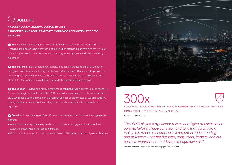# **DELLEMC**

**A CLOSER LOOK – DELL EMC CUSTOMER CASE BANK OF IRELAND ACCELERATES ITS MORTGAGE APPLICATION PROCESS WITH 75%**

**1** The customer - Bank of Ireland is one of the 'Big Four' Irish banks. Its subsidiary in the United Kingdom seeks to be more than 'just' a bank. For instance, it partners with the UK Post Office to serve over 3 million customers with mortgages, savings, loans and foreign currency exchanges.

**2** The challenge - Bank of Ireland UK has lofty ambitions. It wanted to triple its number of mortgages, both directly and through its channel partner network. That meant deeper partner relationships, simplifying mortgage application processes and rendering the IT back-end more efficient. In other words, Bank of Ireland UK was looking at digital transformation.

**3** The solution - To develop a highly customized IT setup that would deliver, Bank of Ireland UK formed a strategic partnership with Dell EMC. From initial consultancy to implementation, Dell EMC developed a back-end that met the requirements for efficiency, ease of use and flexibility. It integrated the system within the existing IT setup and never lost track of the end-user experience.

**4** Benefits - In less than a year, Bank of Ireland UK was able to launch its new mortgage sales platform.

- **•** Where it had taken approximately one hour to complete a mortgage application on the old system, the new system took about 15 minutes.
- **•** Within the first three months, the bank reeled in over £250 million in new mortgage applications.

![](_page_20_Picture_8.jpeg)

# 300x

![](_page_20_Picture_10.jpeg)

BANKS ARE ATTACKED BY HACKERS, MALWARE AND OTHER HOSTILE ACTORS 300 TIMES MORE THAN ANY OTHER TYPE OF COMPANY OR INDUSTRY. Source: Websense Security

*"Dell EMC played a significant role as our digital transformation partner, helping shape our vision and turn that vision into a*  reality. We made a substantial investment in understanding *and delivering what the business, consumers, brokers, and our partners wanted-and that has paid huge rewards."* 

Jonathan Workman, Program Director, UK Mortgages, Bank of Ireland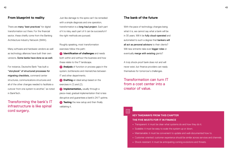There are **many 'best practices'** for digital transformation out there. For the financial sector, these chiefly come from the Banking Architecture Industry Network (BIAN).

Many software and hardware vendors as well as technology alliances have built their own versions. Some banks have done so as well.

For instance, Deutsche Bank "has built a "storybook" of structured processes for migrating checklists, command center structures, communications structures and all of the other changes needed to facilitate a cutover from one system to another," as noted in BankTech.

Transforming the bank's IT infrastructure is like spinal cord surgery.

Just like damage to the spine can't be remedied with a simple diagnosis and one operation, transformation is a long-haul project. Each part of it is risky, each part of it can be successful if the right methods are pursued.

Roughly speaking, most transformation exercises follow this path:

- **<sup>1</sup> Identification of challenges** and needs both within and without the business and how these relate to the IT landscape.
- **2 Analysis** of function or process gaps in the system, bottlenecks and mismatches between IT and other departments.
- **3 Drafting** an ideal setup based on the exercises in (1) and (2).
- **4 Implementation**, usually through a piece-meal, gradual implementation that is less disruptive and guarantees a bank's 24/7 uptime. **5 Testing** the new setup and then finally

validating it.

### **The bank of the future**

With the pace of technology changes being what it is, we cannot say what a bank will be in 30 years. Will it be fully cloud-operated and automated to such a degree that bankers will all act as personal advisors to their clients? Will new entrants take ever **bigger roles** or eventually merge with existing giants?

A truly shock-proof bank does not and will never exist, but finance providers can ready themselves for tomorrow's challenges.

Transformation can turn IT from a cost center into a creator of value.

Eš

### **KEY TAKEAWAYS FROM THIS CHAPTER THE FIVE MUSTS FOR IT IN FINANCE**

- **•** Transparent: it must be clear what systems do and how they do it.
- **•** Scalable: it must be easy to scale the system up or down.
- **•** Maintainable: it must be convenient to update and well-documented how to.
- **•** Customer-oriented: customer experience should be similar across services and channels.
- **•** Shock-resistant: it must be anticipating coming evolutions and threats.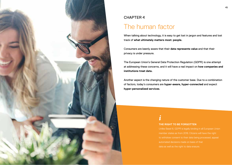![](_page_22_Picture_0.jpeg)

# CHAPTER 4

# The human factor

When talking about technology, it is easy to get lost in jargon and features and lost track of **what ultimately matters most: people.**

Consumers are keenly aware that their **data represents value** and that their privacy is under pressure.

The European Union's General Data Protection Regulation (GDPR) is one attempt at addressing these concerns, and it will have a real impact on **how companies and institutions treat data.**

Another aspect is the changing nature of the customer base. Due to a combination of factors, today's consumers are **hyper-aware, hyper-connected** and expect **hyper-personalized services**.

# *i*

### **THE RIGHT TO BE FORGOTTEN**

Unlike Basel III, GDPR is legally binding in all European Union member states as from 2018. Citizens will have the right to withdraw consent to their data being processed, appeal automated decisions made on basis of that data as well as the right to data erasure.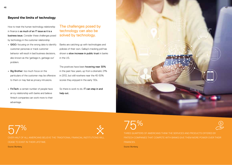# **Beyond the limits of technology**

How to treat the human-technology relationship in finance is as much of an IT issue as it is a business issue. Consider these challenges posed by technology in the customer relationship:

- **•** GIGO: focusing on the wrong data to identify customer personas or track customer behavior will result in bad business decisions, also known as the 'garbage in, garbage out' problem.
- **•** Big Brother: too much focus on the particulars of the customer may be offensive to them or may feel as privacy intrusions.
- **•** FinTech: a certain number of people have an icy relationship with banks and believe fintech companies can work more to their advantage.

# The challenges posed by technology can also be solved by technology.

Banks are catching up with technologies and policies of their own. Gallup's tracking poll has shown a **slow increase in public trust** in banks in the US.

The positives have been hovering near 30% in the past few years, up from a dramatic 21% in 2012, but still nowhere near the 40-50% scores they enjoyed in the early '00s.

So there is work to do. IT can step in and help out.

![](_page_23_Picture_10.jpeg)

57% OVER HALF OF ALL AMERICANS BELIEVE THE TRADITIONAL FINANCIAL INSTITUTIONS WILL CEASE TO EXIST IN THEIR LIFETIME.

Source: Blumberg

 $75\%$ THREE QUARTERS OF AMERICANS THINK THE SERVICES AND PRODUCTS OFFERED BY FINTECH COMPANIES THAT COMPETE WITH BANKS GIVE THEM MORE POWER OVER THEIR FINANCES.

Source: Blumberg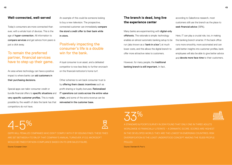Today's consumers are more connected than ever, with a whole host of devices. This is the age of hyper-connection. All information to compare services and get advice from peers is just a click away.

# To remain the preferred partner, financial services have to step up their game.

An area where technology can have a positive impact is where banks can aid customers in their purchasing decisions.

Special apps can tailor consumer credit or bundle financial offers to specific situations and very specific customer profiles. This is made possible by the wealth of data the bank has that competitors do not have.

An example of this could be someone looking to buy a new television. The prospective, connected customer can immediately compare the store's credit offer to their bank while in-store.

# Positively impacting the consumer's life is a double win for the bank.

A loyal consumer is an asset, and a defeated competitor is now less likely to further encroach on the financial institution's home turf.

Other schemes to win back consumer trust is by offering them classic incentives such as profit sharing or loyalty bonuses. Rationalized IT operations cut costs across the entire value chain, and some of the extra revenue can be reinvested in the customer base.

# **The branch is dead, long live the experience center**

Many banks are experimenting with digital-only offshoots. The rationale is simple: technology enables an almost automatic banking setup to be run (also known as a 'bank in a box') at much lower costs, and this allows the digital branch to offer more attractive rates to customers.

However, for many people, the traditional banking branch is still important. In fact,

according to Salesforce research, most customers still use the branch as the place to seek financial advice (58%).

Here, IT can play a crucial role, too, in making the banking branch smarter. If the back office runs more smoothly, more automated and can yield better insights into customer profiles, bank employees will also be able to give better advice and **devote more face-time** to their customers.

33%

| $\mathcal{L}^{\text{max}}_{\text{max}}$ and $\mathcal{L}^{\text{max}}_{\text{max}}$ and $\mathcal{L}^{\text{max}}_{\text{max}}$ and $\mathcal{L}^{\text{max}}_{\text{max}}$                                                                                                                                                                                                                                                                                                                                                              |                                                                                                                                                                                                                                                                                                                                                                                                       |       |                        |
|------------------------------------------------------------------------------------------------------------------------------------------------------------------------------------------------------------------------------------------------------------------------------------------------------------------------------------------------------------------------------------------------------------------------------------------------------------------------------------------------------------------------------------------|-------------------------------------------------------------------------------------------------------------------------------------------------------------------------------------------------------------------------------------------------------------------------------------------------------------------------------------------------------------------------------------------------------|-------|------------------------|
|                                                                                                                                                                                                                                                                                                                                                                                                                                                                                                                                          | $\mathcal{L}^{\text{max}}_{\text{max}}$ and $\mathcal{L}^{\text{max}}_{\text{max}}$ and $\mathcal{L}^{\text{max}}_{\text{max}}$<br>$\mathcal{L}^{\text{max}}_{\text{max}}$ and $\mathcal{L}^{\text{max}}_{\text{max}}$ and $\mathcal{L}^{\text{max}}_{\text{max}}$<br>$\mathcal{L}^{\text{max}}_{\text{max}}$ and $\mathcal{L}^{\text{max}}_{\text{max}}$ and $\mathcal{L}^{\text{max}}_{\text{max}}$ |       |                        |
| $\mathcal{L}^{\text{max}}_{\text{max}}$ and $\mathcal{L}^{\text{max}}_{\text{max}}$ and $\mathcal{L}^{\text{max}}_{\text{max}}$<br>$\mathcal{L}^{\text{max}}_{\text{max}}$ and $\mathcal{L}^{\text{max}}_{\text{max}}$ and $\mathcal{L}^{\text{max}}_{\text{max}}$<br>$\mathcal{L}^{\text{max}}_{\text{max}}$ and $\mathcal{L}^{\text{max}}_{\text{max}}$ and $\mathcal{L}^{\text{max}}_{\text{max}}$<br>$\mathcal{L}^{\text{max}}_{\text{max}}$ and $\mathcal{L}^{\text{max}}_{\text{max}}$ and $\mathcal{L}^{\text{max}}_{\text{max}}$ |                                                                                                                                                                                                                                                                                                                                                                                                       |       |                        |
| $\mathcal{L}^{\text{max}}_{\text{max}}$ and $\mathcal{L}^{\text{max}}_{\text{max}}$ and $\mathcal{L}^{\text{max}}_{\text{max}}$<br>$\sim$ $-$                                                                                                                                                                                                                                                                                                                                                                                            |                                                                                                                                                                                                                                                                                                                                                                                                       | _____ | .<br><b>CONTRACTOR</b> |

4-5%

GDPR WILL PENALIZE COMPANIES WHO DON'T COMPLY WITH IT BY ISSUING FINES. THESE FINES ARE SET BETWEEN 4 TO 5% OF THAT COMPANY'S ANNUAL TURNOVER. IF E.G. MICROSOFT WOULD BE FINED FOR NON-COMPLIANCE BASED ON ITS 2016 SALES FIGURE.

Source: European Union

A STANDARD & POOR'S SURVEY IN 2014 FOUND THAT ONLY ONE IN THREE ADULTS WORLDWIDE IS FINANCIALLY LITERATE – A DRAMATIC SCORE. SCORES ARE HIGHEST IN THE DEVELOPED WORLD. THEY ARE THE LOWEST IN EMERGING COUNTRIES. RISK DIVERSIFICATION IS THE LEAST UNDERSTOOD CONCEPT AMONG THE 15,000 PEOPLE POLLED.

Source: Standard & Poor's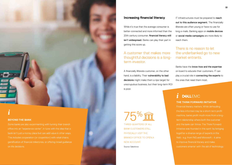![](_page_25_Picture_0.jpeg)

#### **BEYOND THE BANK**

Some banks are also experimenting with turning their branch office into an "experience center", in tune with the idea that a bank isn't just a money place but can add value in other ways. This includes cooperation (or coopetition) with retail chains, on life decisions.

![](_page_25_Picture_4.jpeg)

# **Increasing financial literacy**

While it's true that the average consumer is better-connected and more informed than the 20th century consumer, financial literacy still isn't widespread. Banks can play their part in getting this score up.

# A customer that makes more thoughtful decisions is a longterm investor.

A financially illiterate customer, on the other hand, is a liability. Their vulnerability to bad decisions might make them a ripe target for unscrupulous business, but their long-term ROI is poor.

THREE-QUARTERS OF ALL BANK CUSTOMERS STILL PHYSICALLY VISIT THE BRANCH OFFICE TO OPEN A NEW ACCOUNT.

Source: Salesforce

IT infrastructures must be prepared to reach out to this audience segment. The financially illiterate are often young or have no use for long e-mails. Banking apps on mobile devices or social media campaigns are more likely to reach them.

# There is no reason to let the underbanked go to new market entrants.

Banks have the know-how and the expertise on board to educate their customers. IT can play a crucial role in connecting the experts to the ones that need them most.

# **THE THINK FORWARD INITIATIVE** *i* DELLEMC

the less-informed may be a short-term profit term relationship where both the customer and the bank can thrive. The Think Forward Initiative was founded in this spirit: by bringing together a diverse range of experts in the field - e.g. from ING and Microsoft - it aims to improve financial literacy and make customers smarter with the aid of technology.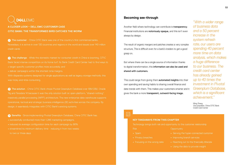# **DEALL FMC**

**A CLOSER LOOK – DELL EMC CUSTOMER CASE CITIC BANK: THE TRANSFORMED BIRD CATCHES THE WORM**

**1** The customer - China CITIC Bank was one of the country's first commercial banks. Nowadays, it is active in over 130 countries and regions in the world and issues over 140 million credit cards.

**2** The challenge - While the domestic market for consumer credit in China is booming, CITIC Bank faced intense competition on its home turf. Its Bank Credit Card Center had to find ways to **•** target specific customer profiles more accurately, and

**•** deliver campaigns within the shortest time margins.

With disparate systems designed for single applications as well as legacy storage methods, this

**<sup>3</sup>** The solution - China CITIC Bank chose Pivotal Greenplum Database over IBM DB2, Oracle 11g and Teradata 14 because it was the only solution built on open-platform, "shared-nothing", operational, tactical and strategic business intelligence (BI) activities across the company. By

**4** Benefits - Since implementing Pivotal Greenplum Database, China CITIC Bank has:

- **•** successfully conducted more than 1,286 marketing campaigns,
- **•** reduced its average configuration time for each campaign by 86%
- **•** streamlined its minimum delivery time reducing it from two weeks to two or three days.

# **Becoming see-through**

Another field where technology can contribute is **transparency**. Financial institutions are **notoriously opaque**, and this isn't even always by design.

The result of organic mergers and patches creates a very complex structure. This is difficult even for a bank's insiders to get a good grasp on.

But where there can be a single source of information thanks to digital transformation, this information can also be used and shared with customers.

This could range from giving them **automated insights** into their own spending and saving habits to sharing overall finance and data trends with them. This makes your customers smarter and it gives the bank a more transparent, outward-facing image.

*"With a wider range of business data and a 50 percent increase in the system refresh rate, our users are spending 40 percent more time on data analysis, which makes a huge difference to our business. The credit card center has already gained up to 40 times the investment in Pivotal Greenplum Database, which is a significant achievement."* 

Ming Zhang Vice president, China CITIC Bank Credit Card Center

巨

#### **KEY TAKEAWAYS FROM THIS CHAPTER**

Technology brings both risk and opportunity to the customer relationship

**Opportunity** 

- Risk
- **•** Spam
- **•** Privacy breaches
- 
- **•** Serving the hyper-connected customer
- **•** Improving branch services
- 
- **•** Using the data to provide insight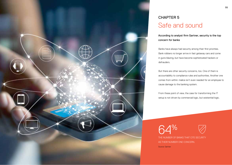![](_page_27_Picture_0.jpeg)

# CHAPTER 5 Safe and sound

According to analyst firm Gartner, security is the top concern for banks

Banks have always had security among their first priorities. Bank robbers no longer arrive in fast getaway cars and come in guns blazing, but have become sophisticated hackers or defrauders.

But there are other security concerns, too. One of them is accountability to compliance rules and authorities. Another one comes from within: malice isn't even needed for an employee to cause damage to the banking system.

From these point of view, the case for transforming the IT setup is not driven by commercial logic, but existential logic.

64 %

![](_page_27_Picture_7.jpeg)

THE NUMBER OF BANKS THAT CITE SECURITY AS THEIR NUMBER ONE CONCERN. Source: Gartner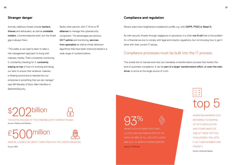Actively malicious threats include **hackers.** thieves and defrauders, as well as unreliable insiders. Countermeasures exist, but the threat gap is always there.

"The reality is we need to learn to take a risk-management approach to living with malware, frankly. That's constantly monitoring it, constantly checking for it, constantly staving on top of how it's evolving and doing our best to ensure that whatever malware is floating around and is injected into our enterprise is something that we can manage," says Bill Wansley of Booz Allen Hamilton in BankInfoSecurity.

Banks often partner with IT firms or IT alliances to manage the cybersecurity component. The advantages are obvious: 24/7 uptime and monitoring, services from specialists as well as threat detection algorithms that have been tried and tested in a wide range of contexts before.

## **Stranger danger Compliance and regulation**

Recent years have heightened compliance's profile, e.g. with GDPR, PSD2 or Basel III.

As with security threats through negligence or ignorance, it is often not ill will that is the problem for a financial service to comply with legal and industry regulations, but not knowing how to get it done with their current IT setups.

# Compliance processes must be built into the IT process.

This avoids lots of manual work and, but mandates a transformation process that fosters this kind of automatic compliance. It can be part of a larger transformation effort, or even the main driver to arrive at the single source of truth.

\$202billion THE EXPECTED SIZE OF THE CYBERSECURITY MARKET BY 2021.

Source: Markets and Markets

![](_page_28_Picture_12.jpeg)

ANNUAL LOSSES ON CREDIT CARD FRAUD IN THE UNITED KINGDOM.

Source: BBC

![](_page_28_Picture_16.jpeg)

BANKS SUCH AS BARCLAYS, HSBC, LLOYDS AND SANTANDER REPORT AS MANY AS 93% OF ALL SECURITY LEAKS ARE DUE TO SIMPLE HUMAN ERRORS. Source: ITProPortal

top 5

AMERICAN BANKING CIOS REFERRED TO KEEPING UP WITH REGULATION AND COMPLIANCE AS ONE OF THEIR TOP FIVE CHALLENGES. 12% LISTS IT AS THEIR NUMBER ONE PRIORITY. Source: American Banker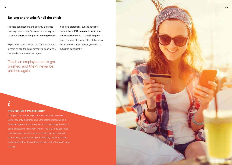## **So long and thanks for all the phish**

Process optimizations and security expertise can only do so much. Governance also requires an active effort on the part of the employees.

Especially in banks, where the IT infrastructure is more or less the bank without its people, this responsibility is even more urgent.

truth is there. If IT can reach out to the bank's workforce and teach IT hygiene (e.g. password strength, safe collaboration techniques or e-mail policies), risk can be mitigated significantly.

It's a bold statement, but the kernel of

Teach an employee not to get phished, and they'll never be phished again.

*i*

#### **PREVENTING A PALACE COUP**

User personas are as important as customer personas. Better security clearance and user segmentation within a financial organization is a key tactic in minimizing the risk of being exposed to risks from within. The trick is to set these permission and security levels so that they help people in their work (e.g. by removing unnecessary clutter from the dashboard) rather than adding an extra set of hoops to jump through.

![](_page_29_Picture_9.jpeg)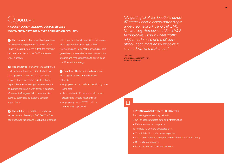# **DEALLEMC**

**A CLOSER LOOK – DELL EMC CUSTOMER CASE MOVEMENT MORTGAGE MOVES FORWARD ON SECURITY**

**1** The customer - Movement Mortgage is an American mortgage provider founded in 2008. Hugely successful from the outset, the company ballooned from four to over 3,800 employees in under a decade.

**2** The challenge - However, the company's IT department found is a difficult challenge to keep an even pace with the business success. Faster and more reliable network capabilities was becoming a requirement for its increasingly mobile workforce. In addition, Movement Mortgage didn't have a unified security policy and its systems couldn't support one.

**3** The solution - In addition to updating its hardware with nearly 4,000 Dell OptiPlex desktops, Dell tablets and Dell Latitude laptops with superior network capabilities, Movement Mortgage also began using Dell EMC Networking and SonicWall technologies. This gave the company a better overview of data streams and made it possible to put in place one IT security strategy.

**4** Benefits - The benefits to Movement Mortgage have been immediate and noticeable:

- **•** employees can remotely and safely originate loans fast
- **•** clearly visible traffic streams help detect attacks and threats much quicker
- **•** employee growth of 27% could be comfortably supported

*"By getting all of our locations across 47 states under a consolidated single wide-area network using Dell EMC Networking, Aerohive and SonicWall technologies, I know where traffic originates. In case of a malicious attack, I can more easily pinpoint it, shut it down and lock it out."* 

Cam Lawler Enterprise Applications Director, Movement Mortgage

# $\overline{\mathbb{E}}$

#### **KEY TAKEAWAYS FROM THIS CHAPTER**

Two main types of security risk exist

- **•** Un- or badly protected data and infrastructure
- **•** Failure to observe compliance

To mitigate risk, several strategies exist

- **•** Threat detection and external expertise
- **•** Automation of compliance procedures (through transformation)
- **•** Better data governance
- **•** User personas and clear access levels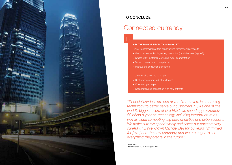![](_page_31_Picture_0.jpeg)

# TO CONCLUDE

# Connected currency

#### **KEY TAKEAWAYS FROM THIS BOOKLET**

Digital transformation offers opportunities for financial services to

- **•** Get in on new technologies (e.g. blockchain) and channels (e.g. IoT)
- **•** Create 360° customer views and hyper-segmentation
- **•** Shore up security and compliance
- **•** Improve the consumer experience

#### … and formulas exist to do it right

- **•** Best practices from industry alliances
- **•** Outsourcing to experts
- **•** Cooperation and coopetition with new entrants

*"Financial services are one of the first movers in embracing technology to better serve our customers. […] As one of the world's biggest users of Dell EMC, we spend approximately \$9 billion a year on technology, including infrastructure as well as cloud computing, big data analytics and cybersecurity. We make sure we spend wisely and select our partners very carefully. […] I've known Michael Dell for 30 years. I'm thrilled for [him] and the new company, and we are eager to see everything they create in the future."* 

Jamie Dimon Chairman and CEO of JPMorgan Chase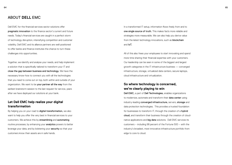# ABOUT **DELL** EMC

Dell EMC for the financial services sector solutions offer pragmatic innovation to the finance sector's current and future needs. Today's financial services are caught in a perfect storm of technology disruption, intensifying competition and customer volatility. Dell EMC and its alliance partners are well-positioned to offer banks and finance institutes the chance to turn these challenges into opportunities.

Together, we identify and analyse your needs, and help implement a solution that is specifically tailored to transform your IT and close the gap between business and technology. We have the necessary know-how to connect you with all the technologies that you need to come out on top, both within and outside of your organization. We want to be your partner all the way from the earliest brainstorm session to the last request for service, years after we have deployed our solutions at your bank.

# **Let Dell EMC help realize your digital transformation**

By helping you on your road to digital transformation, we also want to help you offer the very best in financial services to your customers. We achieve this by streamlining and automating routine processes, by enhancing your **analytics** powers to better leverage your data, and by bolstering your security so that your customers know their assets are in safe hands.

In a transformed IT setup, information flows freely from and to one single source of truth. This makes facts more reliable and strategies more measurable. We can also help you derive value from the latest technology innovations, such as **blockchain** and IoT.

All of this also frees your employees to start innovating and spend more time sharing their financial expertise with your customers. Our leadership can be seen in some of the biggest and largest growth categories in the IT infrastructure business — converged infrastructure, storage, virtualized data centers, secure laptops, cloud infrastructure and virtualization.

# **So where technology is concerned, we're clearly playing to win**

Dell EMC, a part of Dell Technologies, enables organizations to modernize, automate and transform their **data center** using industry-leading converged infrastructure, servers, storage and data protection technologies. This provides a trusted foundation for businesses to transform IT, through the creation of a **hybrid** cloud, and transform their business through the creation of cloudnative applications and big data solutions. Dell EMC services its customers – including 98 percent of the Fortune 500 – with the industry's broadest, most innovative infrastructure portfolio from edge to core to cloud.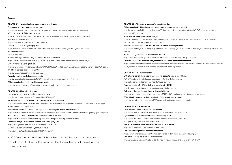#### **Sources**

**CHAPTER 1 - New technology opportunities and threats** Customers switching banks at record rates http://www.telegraph.co.uk/business/2016/04/19/record-number-of-customers-switch-their-bank-account/ IoT could be worth \$15 trillion by 2020 https://dupress.deloitte.com/dup-us-en/focus/internet-of-things/iot-in-financial-services-industry.html 26 billion IoT devices by 2020 http://www.gartner.com/newsroom/id/2636073 Using Facebook or Google to pay bills https://www.evry.com/en/news/articles/psd2-the-directive-that-will-change-banking-as-we-know-it/ 2% revenue increase 9% P2P loan yield

Banks risk losing \$11 billion if they stay out of the P2P loan market https://www.orchardplatform.com/blog/2014520p2p-lending-and-banks-competition-or-opportunity/

BitCoin market is worth \$19.5 billion http://www.businesswire.com/news/home/20161214005366/en/Blockchain-Enterprise-Applications-Market-Reach-19.9-Billion

Worldwide political attitudes to BitCoin http://www.coindesk.com/bitcoin-legal-map/

Financial services can help reduce poverty http://www.huffingtonpost.com/2015/04/15/developing-countries-bank\_n\_7070824.html

26% among banks already have blockchain assets https://www.greenwich.com/fixed-income-fx-cmds/blockchain-adoption-capital-markets

**CHAPTER 2 - Mastering the data** Big data analytics to be worth \$203 billion by 2020 http://www.idc.com/getdoc.jsp?containerId=prUS41826116

Technology will continue freeing financial advisors from mundane tasks http://uk.businessinsider.com/smartest-minds-in-fintech-how-wall-street-is-going-to-change-2016-8?pundits\_only=0&get\_ all\_comments=1&no\_reply\_filter=1

62% of bank customers remain more loyal if a bank gives good advice on life decisions https://www.pwc.com/us/en/financial-services/publications/viewpoints/assets/viewpoint-when-the-growing-gets-tough.pdf Big data can increase risk analysis effectiveness by 50% for banks https://www.compact.nl/articles/how-big-data-can-strengthen-banking-risk-surveillance/ Sentiment analysis outperforms buy and hold strategy by 40% http://www.iijournals.com/doi/full/10.3905/jpm.2017.43.2.136 EU misses out on €160 billion a year due to fraud

http://europa.eu/rapid/press-release\_IP-16-2936\_en.htm

© 2017 Dell Inc. or its subsidiaries. All Rights Reserved. Dell, EMC and other trademarks are trademarks of Dell Inc. or its subsidiaries. Other trademarks may be trademarks of their respective owners.

**CHAPTER 3 - The keys to successful transformation** 64% among banks think change is a bigger challenge than seeing its necessity http://www.ey.com/Publication/vwLUAssets/EY-born-to-be-digital-executive\_briefing/\$FILE/EY-born-to-be-digitalexecutive%20briefing.pdf 2/3 banks are developing cloud strategies https://downloads.cloudsecurityalliance.org/initiatives/surveys/financial-services/Cloud\_Adoption\_In\_The\_Financial\_ Services\_Sector\_Survey\_March2015\_FINAL.pdf 62% of Americans rely on the Internet as their primary banking channel http://www.openlegacy.com/blog/adapt-renew-transform-bridging-the-digital-transformation-gap-in-banking-and-financialservices Banks' IT budget is spent on maintenance for 78% http://www.nttdata.com/global/en/investor/library/annual-reports/pdf/2016/fy2015\_ar.pdf Financial services are attacked by cyber threats 300x more than other companies https://community.websense.com/blogs/websense-news-releases/archive/2015/06/23/websense-174-security-labs-revealstop-cyber-threat-trends-in-2015-financial-services-drill-down-report.aspx

#### **CHAPTER 4 - The human factor**

57% of Americans believe traditional banks will cease to exist in their lifetime 75% of Americans think fintech companies can offer them better services http://blumbergcapital.com/news\_insights/fintechsurvey/ Revenue penalty of 4-5% for failing to comply with GDPR http://ec.europa.eu/justice/data-protection/reform/index\_en.htm Only one in three adults worldwide is financially literate https://www.forbes.com/sites/maggiemcgrath/2015/11/18/in-a-global-test-of-financial-literacy-the-u-s 75% of bank customers still visit the bank office to open new accounts https://www.salesforce.com/assets/2017-connected-banking-customer-report/index.html

**CHAPTER 5 - Safe and sound** 64% of banks cite security as their top concern http://www.gartner.com/smarterwithgartner/top-10-security-predictions-2016/ Cybersecurity market value to reach \$202 billion by 2021 http://www.marketsandmarkets.com/Market-Reports/cyber-security-market-505. html?gclid=CMyqhIO7xdMCFdEV0wodZM8O\_w Annual UK losses to credit card fraud amount to £500 million http://news.bbc.co.uk/2/hi/business/3256031.stm Regulation among top five concerns of bankers https://www.americanbanker.com/opinion/compliance-in-2016-more-than-just-following-rules 93% of all security leaks are due to human error http://www.itproportal.com/features/qa-the-rise-of-insider-threats-and-how-to-prevent-them/